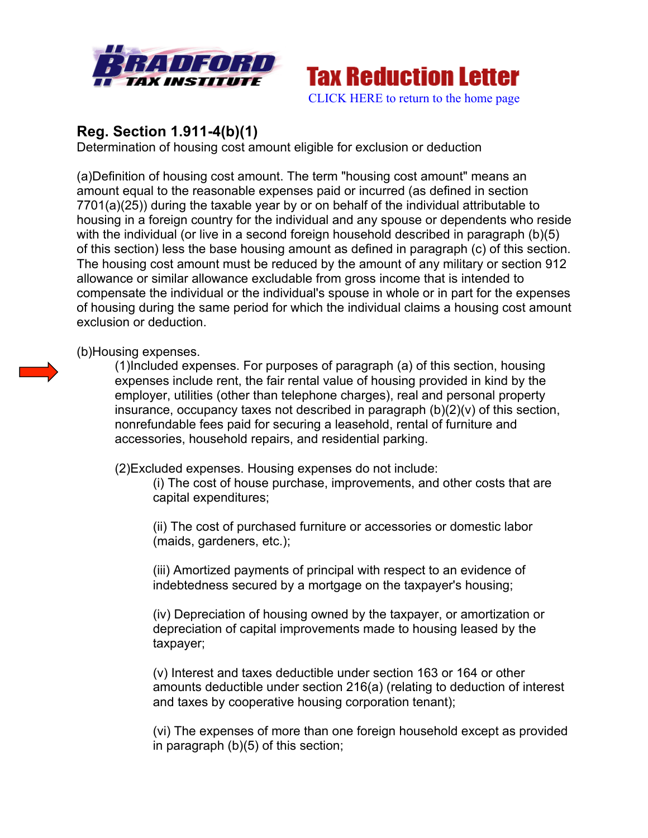



## **Reg. Section 1.911-4(b)(1)**

Determination of housing cost amount eligible for exclusion or deduction

(a)Definition of housing cost amount. The term "housing cost amount" means an amount equal to the reasonable expenses paid or incurred (as defined in section 7701(a)(25)) during the taxable year by or on behalf of the individual attributable to housing in a foreign country for the individual and any spouse or dependents who reside with the individual (or live in a second foreign household described in paragraph (b)(5) of this section) less the base housing amount as defined in paragraph (c) of this section. The housing cost amount must be reduced by the amount of any military or section 912 allowance or similar allowance excludable from gross income that is intended to compensate the individual or the individual's spouse in whole or in part for the expenses of housing during the same period for which the individual claims a housing cost amount exclusion or deduction.

(b)Housing expenses.

(1)Included expenses. For purposes of paragraph (a) of this section, housing expenses include rent, the fair rental value of housing provided in kind by the employer, utilities (other than telephone charges), real and personal property insurance, occupancy taxes not described in paragraph (b)(2)(v) of this section, nonrefundable fees paid for securing a leasehold, rental of furniture and accessories, household repairs, and residential parking.

(2)Excluded expenses. Housing expenses do not include:

(i) The cost of house purchase, improvements, and other costs that are capital expenditures;

(ii) The cost of purchased furniture or accessories or domestic labor (maids, gardeners, etc.);

(iii) Amortized payments of principal with respect to an evidence of indebtedness secured by a mortgage on the taxpayer's housing;

(iv) Depreciation of housing owned by the taxpayer, or amortization or depreciation of capital improvements made to housing leased by the taxpayer;

(v) Interest and taxes deductible under section 163 or 164 or other amounts deductible under section 216(a) (relating to deduction of interest and taxes by cooperative housing corporation tenant);

(vi) The expenses of more than one foreign household except as provided in paragraph (b)(5) of this section;